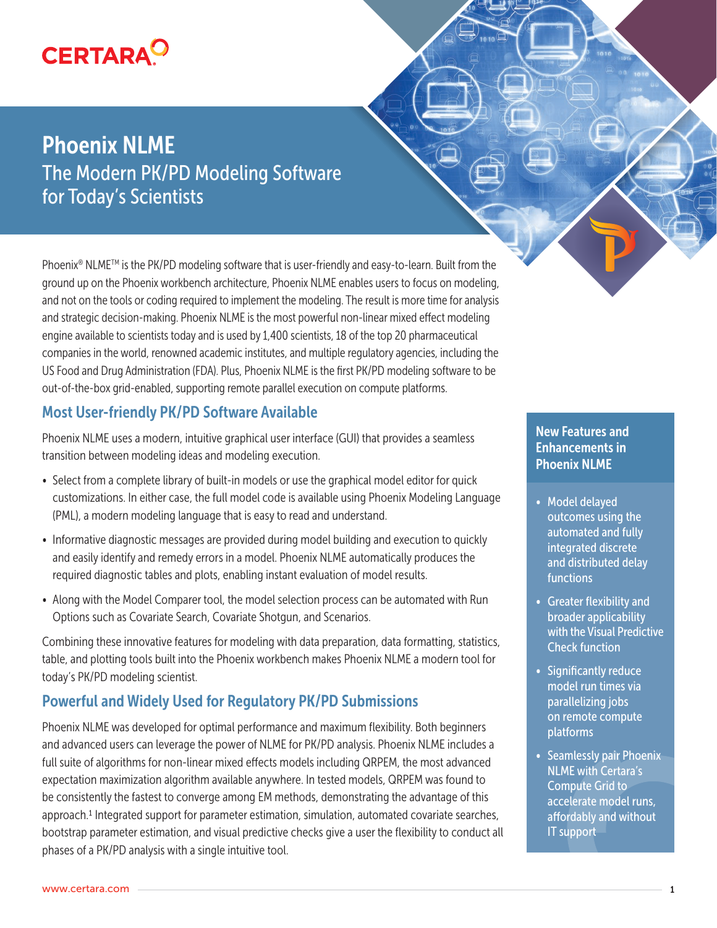# **CERTARA<sup>O</sup>**

## Phoenix NLME The Modern PK/PD Modeling Software for Today's Scientists

Phoenix<sup>®</sup> NLME<sup>™</sup> is the PK/PD modeling software that is user-friendly and easy-to-learn. Built from the ground up on the Phoenix workbench architecture, Phoenix NLME enables users to focus on modeling, and not on the tools or coding required to implement the modeling. The result is more time for analysis and strategic decision-making. Phoenix NLME is the most powerful non-linear mixed effect modeling engine available to scientists today and is used by 1,400 scientists, 18 of the top 20 pharmaceutical companies in the world, renowned academic institutes, and multiple regulatory agencies, including the US Food and Drug Administration (FDA). Plus, Phoenix NLME is the first PK/PD modeling software to be out-of-the-box grid-enabled, supporting remote parallel execution on compute platforms.

## Most User-friendly PK/PD Software Available

Phoenix NLME uses a modern, intuitive graphical user interface (GUI) that provides a seamless transition between modeling ideas and modeling execution.

- Select from a complete library of built-in models or use the graphical model editor for quick customizations. In either case, the full model code is available using Phoenix Modeling Language (PML), a modern modeling language that is easy to read and understand.
- Informative diagnostic messages are provided during model building and execution to quickly and easily identify and remedy errors in a model. Phoenix NLME automatically produces the required diagnostic tables and plots, enabling instant evaluation of model results.
- Along with the Model Comparer tool, the model selection process can be automated with Run Options such as Covariate Search, Covariate Shotgun, and Scenarios.

Combining these innovative features for modeling with data preparation, data formatting, statistics, table, and plotting tools built into the Phoenix workbench makes Phoenix NLME a modern tool for today's PK/PD modeling scientist.

## Powerful and Widely Used for Regulatory PK/PD Submissions

Phoenix NLME was developed for optimal performance and maximum flexibility. Both beginners and advanced users can leverage the power of NLME for PK/PD analysis. Phoenix NLME includes a full suite of algorithms for non-linear mixed effects models including QRPEM, the most advanced expectation maximization algorithm available anywhere. In tested models, QRPEM was found to be consistently the fastest to converge among EM methods, demonstrating the advantage of this approach.1 Integrated support for parameter estimation, simulation, automated covariate searches, bootstrap parameter estimation, and visual predictive checks give a user the flexibility to conduct all phases of a PK/PD analysis with a single intuitive tool.

### New Features and Enhancements in Phoenix NLME

- Model delayed outcomes using the automated and fully integrated discrete and distributed delay functions
- Greater flexibility and broader applicability with the Visual Predictive Check function
- Significantly reduce model run times via parallelizing jobs on remote compute platforms
- Seamlessly pair Phoenix NLME with Certara's Compute Grid to accelerate model runs, affordably and without IT support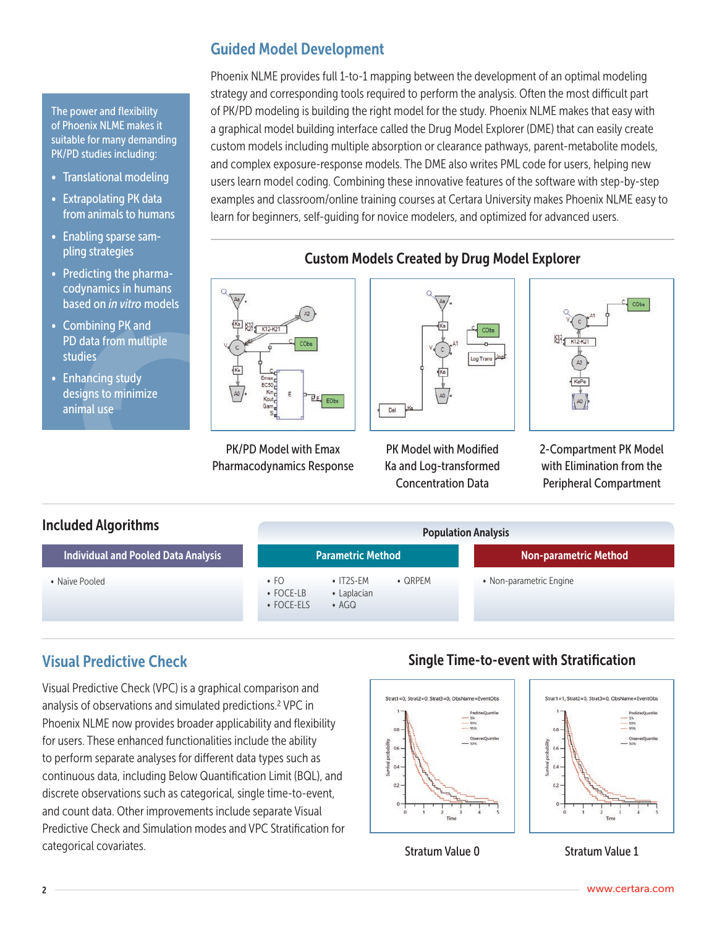#### The power and flexibility of Phoenix NLME makes it suitable for many demanding PK/PD studies including:

- Translational modeling
- Extrapolating PK data from animals to humans
- Enabling sparse sampling strategies
- Predicting the pharmacodynamics in humans based on *in vitro* models
- Combining PK and PD data from multiple studies
- Enhancing study designs to minimize animal use

## Guided Model Development

Phoenix NLME provides full 1-to-1 mapping between the development of an optimal modeling strategy and corresponding tools required to perform the analysis. Often the most difficult part of PK/PD modeling is building the right model for the study. Phoenix NLME makes that easy with a graphical model building interface called the Drug Model Explorer (DME) that can easily create custom models including multiple absorption or clearance pathways, parent-metabolite models, and complex exposure-response models. The DME also writes PML code for users, helping new users learn model coding. Combining these innovative features of the software with step-by-step examples and classroom/online training courses at Certara University makes Phoenix NLME easy to learn for beginners, self-guiding for novice modelers, and optimized for advanced users.



PK/PD Model with Emax Pharmacodynamics Response

## Custom Models Created by Drug Model Explorer



PK Model with Modified Ka and Log-transformed Concentration Data



2-Compartment PK Model with Elimination from the Peripheral Compartment

#### Included Algorithms • Naïve Pooled Individual and Pooled Data Analysis • FO • FOCE-LB • FOCE-ELS • IT2S-EM • Laplacian • AGQ • QRPEM Parametric Method • Non-parametric Engine Non-parametric Method Population Analysis

## Visual Predictive Check

Visual Predictive Check (VPC) is a graphical comparison and analysis of observations and simulated predictions.2 VPC in Phoenix NLME now provides broader applicability and flexibility for users. These enhanced functionalities include the ability to perform separate analyses for different data types such as continuous data, including Below Quantification Limit (BQL), and discrete observations such as categorical, single time-to-event, and count data. Other improvements include separate Visual Predictive Check and Simulation modes and VPC Stratification for categorical covariates.

## Single Time-to-event with Stratification

 $06$ 

 $04$ 

ň3



Stratum Value 0

Stratum Value 1

Strat1=1. Strat2=0. Strat3=0. ObsName=EventObs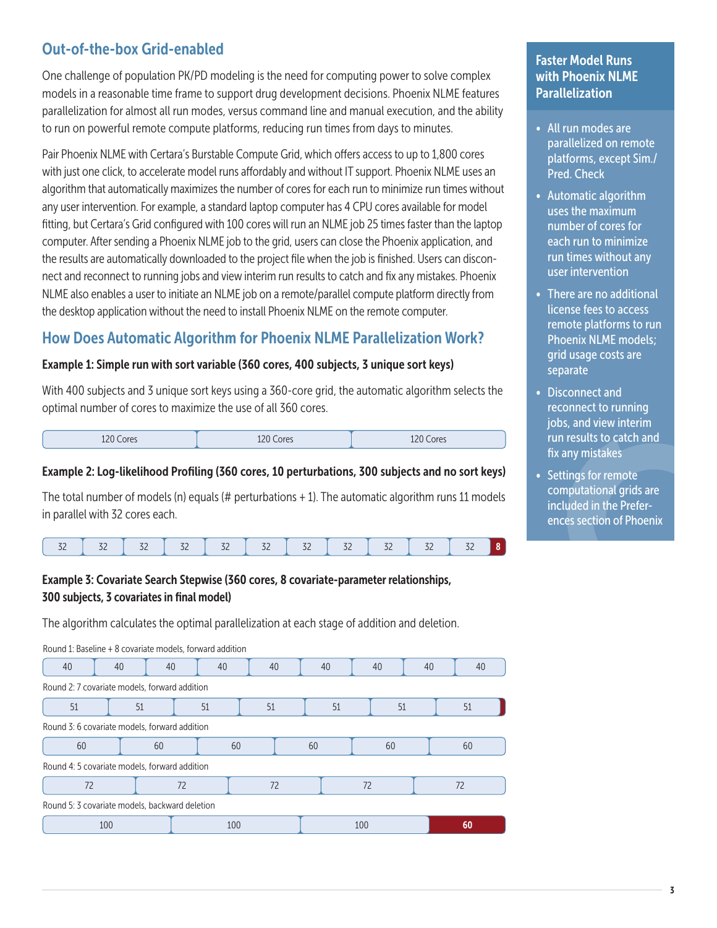## Out-of-the-box Grid-enabled

One challenge of population PK/PD modeling is the need for computing power to solve complex models in a reasonable time frame to support drug development decisions. Phoenix NLME features parallelization for almost all run modes, versus command line and manual execution, and the ability to run on powerful remote compute platforms, reducing run times from days to minutes.

Pair Phoenix NLME with Certara's Burstable Compute Grid, which offers access to up to 1,800 cores with just one click, to accelerate model runs affordably and without IT support. Phoenix NLME uses an algorithm that automatically maximizes the number of cores for each run to minimize run times without any user intervention. For example, a standard laptop computer has 4 CPU cores available for model fitting, but Certara's Grid configured with 100 cores will run an NLME job 25 times faster than the laptop computer. After sending a Phoenix NLME job to the grid, users can close the Phoenix application, and the results are automatically downloaded to the project file when the job is finished. Users can disconnect and reconnect to running jobs and view interim run results to catch and fix any mistakes. Phoenix NLME also enables a user to initiate an NLME job on a remote/parallel compute platform directly from the desktop application without the need to install Phoenix NLME on the remote computer.

## How Does Automatic Algorithm for Phoenix NLME Parallelization Work?

#### Example 1: Simple run with sort variable (360 cores, 400 subjects, 3 unique sort keys)

With 400 subjects and 3 unique sort keys using a 360-core grid, the automatic algorithm selects the optimal number of cores to maximize the use of all 360 cores.

| 120 $\cap$<br>120 Cores | 120 C<br>Cores | 120C<br>Cores<br>TLU |
|-------------------------|----------------|----------------------|

#### Example 2: Log-likelihood Profiling (360 cores, 10 perturbations, 300 subjects and no sort keys)

The total number of models (n) equals (# perturbations  $+1$ ). The automatic algorithm runs 11 models in parallel with 32 cores each.

### Example 3: Covariate Search Stepwise (360 cores, 8 covariate-parameter relationships, 300 subjects, 3 covariates in final model)

The algorithm calculates the optimal parallelization at each stage of addition and deletion.

Round 1: Baseline + 8 covariate models, forward addition

| 40                                             | 40       | 40 | 40 | 40  | 40 |    | 40  |  |    | 40 |  |
|------------------------------------------------|----------|----|----|-----|----|----|-----|--|----|----|--|
| Round 2: 7 covariate models, forward addition  |          |    |    |     |    |    |     |  |    |    |  |
| 51<br>51                                       |          |    | 51 | 51  | 51 |    | 51  |  | 51 |    |  |
| Round 3: 6 covariate models, forward addition  |          |    |    |     |    |    |     |  |    |    |  |
| 60<br>60                                       |          |    | 60 |     | 60 |    | 60  |  |    | 60 |  |
| Round 4: 5 covariate models, forward addition  |          |    |    |     |    |    |     |  |    |    |  |
|                                                | 72<br>72 |    |    | 72  |    | 72 |     |  | 72 |    |  |
| Round 5: 3 covariate models, backward deletion |          |    |    |     |    |    |     |  |    |    |  |
| 100                                            |          |    |    | 100 |    |    | 100 |  |    | 60 |  |

### Faster Model Runs with Phoenix NLME **Parallelization**

- All run modes are parallelized on remote platforms, except Sim./ Pred. Check
- Automatic algorithm uses the maximum number of cores for each run to minimize run times without any user intervention
- There are no additional license fees to access remote platforms to run Phoenix NLME models; grid usage costs are separate
- Disconnect and reconnect to running jobs, and view interim run results to catch and fix any mistakes
- Settings for remote computational grids are included in the Preferences section of Phoenix